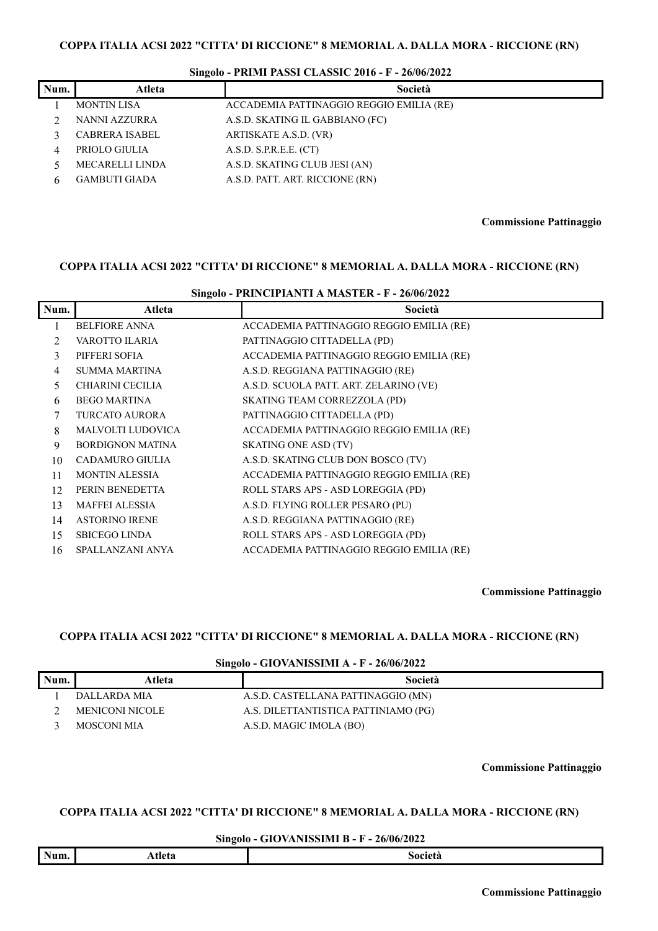| Num. | Atleta                 | Società                                  |
|------|------------------------|------------------------------------------|
|      | <b>MONTIN LISA</b>     | ACCADEMIA PATTINAGGIO REGGIO EMILIA (RE) |
|      | NANNI AZZURRA          | A.S.D. SKATING IL GABBIANO (FC)          |
|      | <b>CABRERA ISABEL</b>  | ARTISKATE A.S.D. (VR)                    |
|      | PRIOLO GIULIA          | A.S.D. S.P.R.E.E. (CT)                   |
|      | <b>MECARELLI LINDA</b> | A.S.D. SKATING CLUB JESI (AN)            |
|      | <b>GAMBUTI GIADA</b>   | A.S.D. PATT. ART. RICCIONE (RN)          |

**Commissione Pattinaggio**

#### **COPPA ITALIA ACSI 2022 "CITTA' DI RICCIONE" 8 MEMORIAL A. DALLA MORA - RICCIONE (RN)**

| Singolo - PRINCIPIANTI A MASTER - F - 26/06/2022 |                          |                                          |  |
|--------------------------------------------------|--------------------------|------------------------------------------|--|
| Num.                                             | Atleta                   | Società                                  |  |
|                                                  | <b>BELFIORE ANNA</b>     | ACCADEMIA PATTINAGGIO REGGIO EMILIA (RE) |  |
| $\mathfrak{D}$                                   | VAROTTO ILARIA           | PATTINAGGIO CITTADELLA (PD)              |  |
| 3                                                | PIFFERI SOFIA            | ACCADEMIA PATTINAGGIO REGGIO EMILIA (RE) |  |
| 4                                                | <b>SUMMA MARTINA</b>     | A.S.D. REGGIANA PATTINAGGIO (RE)         |  |
| 5.                                               | <b>CHIARINI CECILIA</b>  | A.S.D. SCUOLA PATT. ART. ZELARINO (VE)   |  |
| 6                                                | <b>BEGO MARTINA</b>      | SKATING TEAM CORREZZOLA (PD)             |  |
| 7                                                | <b>TURCATO AURORA</b>    | PATTINAGGIO CITTADELLA (PD)              |  |
| 8                                                | <b>MALVOLTI LUDOVICA</b> | ACCADEMIA PATTINAGGIO REGGIO EMILIA (RE) |  |
| 9                                                | <b>BORDIGNON MATINA</b>  | <b>SKATING ONE ASD (TV)</b>              |  |
| 10                                               | CADAMURO GIULIA          | A.S.D. SKATING CLUB DON BOSCO (TV)       |  |
| 11                                               | <b>MONTIN ALESSIA</b>    | ACCADEMIA PATTINAGGIO REGGIO EMILIA (RE) |  |
| 12                                               | PERIN BENEDETTA          | ROLL STARS APS - ASD LOREGGIA (PD)       |  |
| 13                                               | <b>MAFFEI ALESSIA</b>    | A.S.D. FLYING ROLLER PESARO (PU)         |  |
| 14                                               | <b>ASTORINO IRENE</b>    | A.S.D. REGGIANA PATTINAGGIO (RE)         |  |
| 15                                               | <b>SBICEGO LINDA</b>     | ROLL STARS APS - ASD LOREGGIA (PD)       |  |

# SPALLANZANI ANYA ACCADEMIA PATTINAGGIO REGGIO EMILIA (RE)

**Commissione Pattinaggio**

### **COPPA ITALIA ACSI 2022 "CITTA' DI RICCIONE" 8 MEMORIAL A. DALLA MORA - RICCIONE (RN)**

### **Singolo - GIOVANISSIMI A - F - 26/06/2022**

| Num. | Atleta          | Società                              |
|------|-----------------|--------------------------------------|
|      | DALLARDA MIA    | A.S.D. CASTELLANA PATTINAGGIO (MN)   |
|      | MENICONI NICOLE | A.S. DILETTANTISTICA PATTINIAMO (PG) |
|      | MOSCONI MIA     | A.S.D. MAGIC IMOLA (BO)              |

**Commissione Pattinaggio**

### **COPPA ITALIA ACSI 2022 "CITTA' DI RICCIONE" 8 MEMORIAL A. DALLA MORA - RICCIONE (RN)**

#### **Singolo - GIOVANISSIMI B - F - 26/06/2022**

|  | Num. | :tleta<br>.JLC<br>------- | 0.0101<br>лега<br>,,,, |
|--|------|---------------------------|------------------------|
|--|------|---------------------------|------------------------|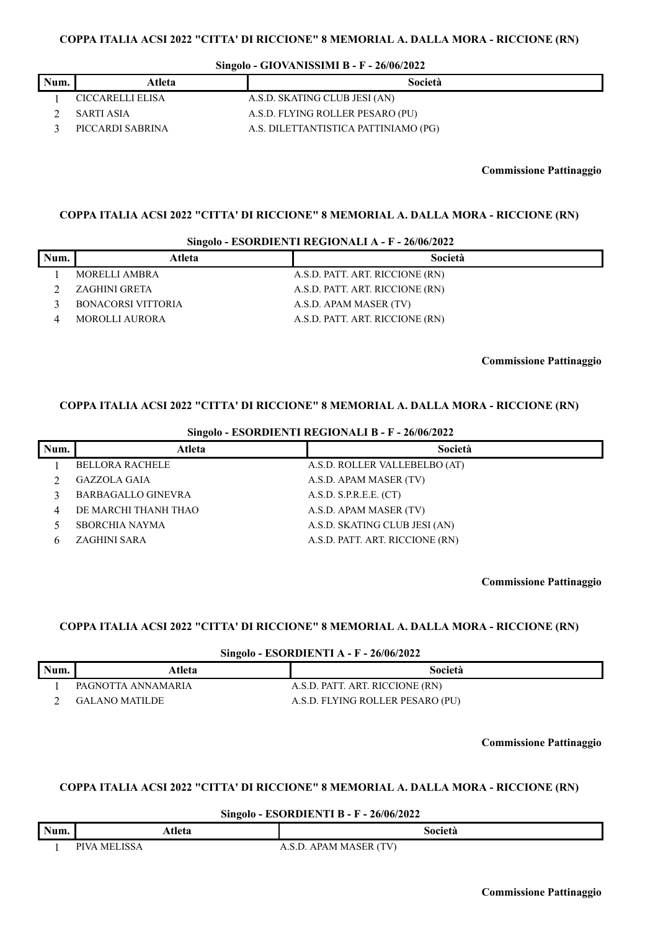**Singolo - GIOVANISSIMI B - F - 26/06/2022**

|      | ິ                |                                      |
|------|------------------|--------------------------------------|
| Num. | Atleta           | Società                              |
|      | CICCARELLI ELISA | A.S.D. SKATING CLUB JESI (AN)        |
|      | SARTI ASIA       | A.S.D. FLYING ROLLER PESARO (PU)     |
|      | PICCARDI SABRINA | A.S. DILETTANTISTICA PATTINIAMO (PG) |

**Commissione Pattinaggio**

### **COPPA ITALIA ACSI 2022 "CITTA' DI RICCIONE" 8 MEMORIAL A. DALLA MORA - RICCIONE (RN)**

#### **Singolo - ESORDIENTI REGIONALI A - F - 26/06/2022**

| Num. | Atleta                    | Società                         |
|------|---------------------------|---------------------------------|
|      | MORELLI AMBRA             | A.S.D. PATT. ART. RICCIONE (RN) |
|      | ZAGHINI GRETA             | A.S.D. PATT. ART. RICCIONE (RN) |
|      | <b>BONACORSI VITTORIA</b> | A.S.D. APAM MASER (TV)          |
|      | MOROLLI AURORA            | A.S.D. PATT. ART. RICCIONE (RN) |

**Commissione Pattinaggio**

### **COPPA ITALIA ACSI 2022 "CITTA' DI RICCIONE" 8 MEMORIAL A. DALLA MORA - RICCIONE (RN)**

| Singolo - ESORDIENTI REGIONALI B - F - 26/06/2022 |                           |                                 |
|---------------------------------------------------|---------------------------|---------------------------------|
| Num.                                              | Atleta                    | Società                         |
|                                                   | <b>BELLORA RACHELE</b>    | A.S.D. ROLLER VALLEBELBO (AT)   |
|                                                   | <b>GAZZOLA GAIA</b>       | A.S.D. APAM MASER (TV)          |
|                                                   | <b>BARBAGALLO GINEVRA</b> | A.S.D. S.P.R.E.E. (CT)          |
| 4                                                 | DE MARCHI THANH THAO      | A.S.D. APAM MASER (TV)          |
|                                                   | <b>SBORCHIA NAYMA</b>     | A.S.D. SKATING CLUB JESI (AN)   |
|                                                   | <b>ZAGHINI SARA</b>       | A.S.D. PATT. ART. RICCIONE (RN) |

**Commissione Pattinaggio**

# **COPPA ITALIA ACSI 2022 "CITTA' DI RICCIONE" 8 MEMORIAL A. DALLA MORA - RICCIONE (RN)**

#### **Singolo - ESORDIENTI A - F - 26/06/2022**

| Num. | Atleta                | Società                          |
|------|-----------------------|----------------------------------|
|      | PAGNOTTA ANNAMARIA    | A.S.D. PATT. ART. RICCIONE (RN)  |
|      | <b>GALANO MATILDE</b> | A.S.D. FLYING ROLLER PESARO (PU) |

**Commissione Pattinaggio**

### **COPPA ITALIA ACSI 2022 "CITTA' DI RICCIONE" 8 MEMORIAL A. DALLA MORA - RICCIONE (RN)**

### **Singolo - ESORDIENTI B - F - 26/06/2022**

|      | ິ                               |                                                                            |
|------|---------------------------------|----------------------------------------------------------------------------|
| Num. | 'leta<br>.                      | Societ                                                                     |
|      | TCT<br><b>DIVA</b><br>MF<br>SSA | (TV)<br>- ⊢ R<br>ΛΡΛ<br>$\mathbf{A} \mathbf{A} \mathbf{A}$<br>$\mathbf{N}$ |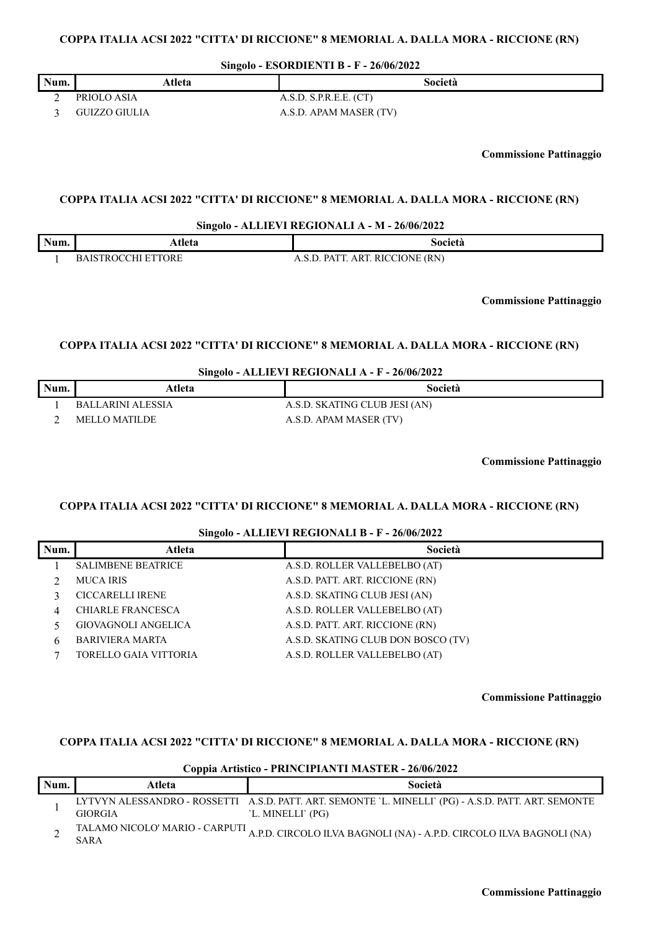**Singolo - ESORDIENTI B - F - 26/06/2022**

| Num. | Atleta        | Società                |
|------|---------------|------------------------|
|      | PRIOLO ASIA   | A.S.D. S.P.R.E.E. (CT) |
|      | GUIZZO GIULIA | A.S.D. APAM MASER (TV) |

**Commissione Pattinaggio**

### **COPPA ITALIA ACSI 2022 "CITTA' DI RICCIONE" 8 MEMORIAL A. DALLA MORA - RICCIONE (RN)**

#### **Singolo - ALLIEVI REGIONALI A - M - 26/06/2022**

| Num. | Heta                      | Società                         |
|------|---------------------------|---------------------------------|
|      | <b>BAISTROCCHI ETTORE</b> | A.S.D. PATT. ART. RICCIONE (RN) |

**Commissione Pattinaggio**

### **COPPA ITALIA ACSI 2022 "CITTA' DI RICCIONE" 8 MEMORIAL A. DALLA MORA - RICCIONE (RN)**

**Singolo - ALLIEVI REGIONALI A - F - 26/06/2022**

| Num. | Atleta            | Società                       |
|------|-------------------|-------------------------------|
|      | BALLARINI ALESSIA | A.S.D. SKATING CLUB JESI (AN) |
|      | MELLO MATILDE     | A.S.D. APAM MASER (TV)        |

**Commissione Pattinaggio**

#### **COPPA ITALIA ACSI 2022 "CITTA' DI RICCIONE" 8 MEMORIAL A. DALLA MORA - RICCIONE (RN)**

#### **Singolo - ALLIEVI REGIONALI B - F - 26/06/2022**

|      | $\overline{a}$            |                                    |
|------|---------------------------|------------------------------------|
| Num. | Atleta                    | Società                            |
|      | <b>SALIMBENE BEATRICE</b> | A.S.D. ROLLER VALLEBELBO (AT)      |
|      | <b>MUCA IRIS</b>          | A.S.D. PATT. ART. RICCIONE (RN)    |
|      | <b>CICCARELLI IRENE</b>   | A.S.D. SKATING CLUB JESI (AN)      |
|      | <b>CHIARLE FRANCESCA</b>  | A.S.D. ROLLER VALLEBELBO (AT)      |
|      | GIOVAGNOLI ANGELICA       | A.S.D. PATT. ART. RICCIONE (RN)    |
| h    | <b>BARIVIERA MARTA</b>    | A.S.D. SKATING CLUB DON BOSCO (TV) |
|      | TORELLO GAIA VITTORIA     | A.S.D. ROLLER VALLEBELBO (AT)      |
|      |                           |                                    |

**Commissione Pattinaggio**

#### **COPPA ITALIA ACSI 2022 "CITTA' DI RICCIONE" 8 MEMORIAL A. DALLA MORA - RICCIONE (RN)**

| Coppia Artistico - PRINCIPIANTI MASTER - 26/06/2022 |                |                                                                                                                           |
|-----------------------------------------------------|----------------|---------------------------------------------------------------------------------------------------------------------------|
| Num.                                                | Atleta         | Società                                                                                                                   |
|                                                     | <b>GIORGIA</b> | LYTVYN ALESSANDRO - ROSSETTI A.S.D. PATT. ART. SEMONTE 'L. MINELLI' (PG) - A.S.D. PATT. ART. SEMONTE<br>'L. MINELLI' (PG) |
|                                                     | <b>SARA</b>    | TALAMO NICOLO' MARIO - CARPUTI <sub>A.P.D.</sub> CIRCOLO ILVA BAGNOLI (NA) - A.P.D. CIRCOLO ILVA BAGNOLI (NA)             |

# **Coppia Artistico - PRINCIPIANTI MASTER - 26/06/2022**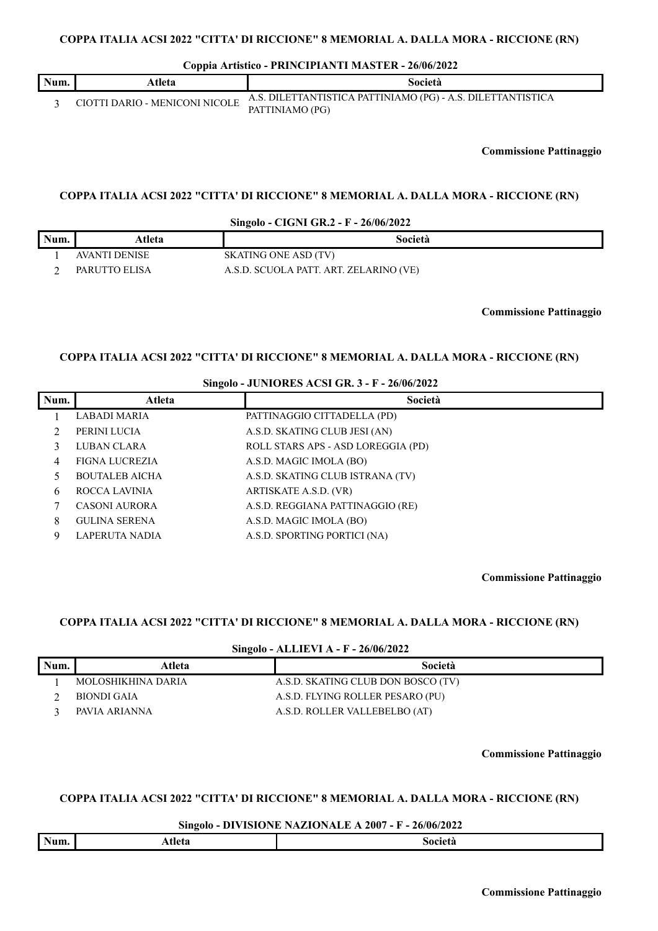**Coppia Artistico - PRINCIPIANTI MASTER - 26/06/2022**

|      | --                             |                                                             |
|------|--------------------------------|-------------------------------------------------------------|
| Num. | Atleta                         | Società                                                     |
|      | CIOTTI DARIO - MENICONI NICOLE | A.S. DILETTANTISTICA PATTINIAMO (PG) - A.S. DILETTANTISTICA |
|      |                                | PATTINIAMO (PG)                                             |

**Commissione Pattinaggio**

### **COPPA ITALIA ACSI 2022 "CITTA' DI RICCIONE" 8 MEMORIAL A. DALLA MORA - RICCIONE (RN)**

**Singolo - CIGNI GR.2 - F - 26/06/2022**

| Num. | Atleta        | Società                                |
|------|---------------|----------------------------------------|
|      | AVANTI DENISE | SKATING ONE ASD (TV)                   |
|      | PARUTTO ELISA | A.S.D. SCUOLA PATT. ART. ZELARINO (VE) |

**Commissione Pattinaggio**

### **COPPA ITALIA ACSI 2022 "CITTA' DI RICCIONE" 8 MEMORIAL A. DALLA MORA - RICCIONE (RN)**

### **Singolo - JUNIORES ACSI GR. 3 - F - 26/06/2022**

| Num. | Atleta                | Società                            |
|------|-----------------------|------------------------------------|
|      | LABADI MARIA          | PATTINAGGIO CITTADELLA (PD)        |
|      | PERINI LUCIA          | A.S.D. SKATING CLUB JESI (AN)      |
|      | LUBAN CLARA           | ROLL STARS APS - ASD LOREGGIA (PD) |
|      | <b>FIGNA LUCREZIA</b> | A.S.D. MAGIC IMOLA (BO)            |
|      | <b>BOUTALEB AICHA</b> | A.S.D. SKATING CLUB ISTRANA (TV)   |
| 6    | ROCCA LAVINIA         | ARTISKATE A.S.D. (VR)              |
|      | <b>CASONI AURORA</b>  | A.S.D. REGGIANA PATTINAGGIO (RE)   |
| 8    | <b>GULINA SERENA</b>  | A.S.D. MAGIC IMOLA (BO)            |
| 9    | <b>LAPERUTA NADIA</b> | A.S.D. SPORTING PORTICI (NA)       |

**Commissione Pattinaggio**

# **COPPA ITALIA ACSI 2022 "CITTA' DI RICCIONE" 8 MEMORIAL A. DALLA MORA - RICCIONE (RN)**

#### **Singolo - ALLIEVI A - F - 26/06/2022**

| Num. | Atleta             | Società                            |
|------|--------------------|------------------------------------|
|      | MOLOSHIKHINA DARIA | A.S.D. SKATING CLUB DON BOSCO (TV) |
|      | BIONDI GAIA        | A.S.D. FLYING ROLLER PESARO (PU)   |
|      | PAVIA ARIANNA      | A.S.D. ROLLER VALLEBELBO (AT)      |

**Commissione Pattinaggio**

#### **COPPA ITALIA ACSI 2022 "CITTA' DI RICCIONE" 8 MEMORIAL A. DALLA MORA - RICCIONE (RN)**

#### **Singolo - DIVISIONE NAZIONALE A 2007 - F - 26/06/2022**

| Num. | tlete<br>AUCIA | <b>Societa</b><br>$-100$ $-100$ $-100$ |
|------|----------------|----------------------------------------|
|      |                |                                        |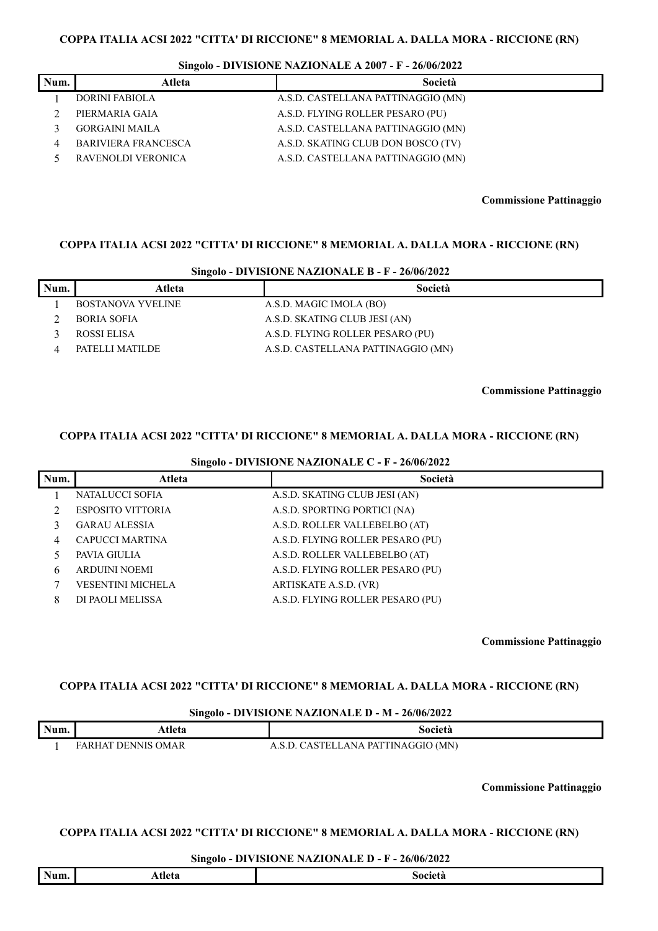#### **Singolo - DIVISIONE NAZIONALE A 2007 - F - 26/06/2022**

| Num. | Atleta                     | Società                            |
|------|----------------------------|------------------------------------|
|      | <b>DORINI FABIOLA</b>      | A.S.D. CASTELLANA PATTINAGGIO (MN) |
|      | PIERMARIA GAIA             | A.S.D. FLYING ROLLER PESARO (PU)   |
|      | <b>GORGAINI MAILA</b>      | A.S.D. CASTELLANA PATTINAGGIO (MN) |
|      | <b>BARIVIERA FRANCESCA</b> | A.S.D. SKATING CLUB DON BOSCO (TV) |
|      | RAVENOLDI VERONICA         | A.S.D. CASTELLANA PATTINAGGIO (MN) |

#### **Commissione Pattinaggio**

#### **COPPA ITALIA ACSI 2022 "CITTA' DI RICCIONE" 8 MEMORIAL A. DALLA MORA - RICCIONE (RN)**

### **Singolo - DIVISIONE NAZIONALE B - F - 26/06/2022**

| Num. | Atleta             | Società                            |
|------|--------------------|------------------------------------|
|      | BOSTANOVA YVELINE  | A.S.D. MAGIC IMOLA (BO)            |
|      | <b>BORIA SOFIA</b> | A.S.D. SKATING CLUB JESI (AN)      |
|      | ROSSI ELISA        | A.S.D. FLYING ROLLER PESARO (PU)   |
|      | PATELLI MATILDE    | A.S.D. CASTELLANA PATTINAGGIO (MN) |

**Commissione Pattinaggio**

#### **COPPA ITALIA ACSI 2022 "CITTA' DI RICCIONE" 8 MEMORIAL A. DALLA MORA - RICCIONE (RN)**

**Singolo - DIVISIONE NAZIONALE C - F - 26/06/2022**

| Num. | Atleta                   | Società                          |
|------|--------------------------|----------------------------------|
|      | NATALUCCI SOFIA          | A.S.D. SKATING CLUB JESI (AN)    |
|      | <b>ESPOSITO VITTORIA</b> | A.S.D. SPORTING PORTICI (NA)     |
|      | <b>GARAU ALESSIA</b>     | A.S.D. ROLLER VALLEBELBO (AT)    |
| 4    | <b>CAPUCCI MARTINA</b>   | A.S.D. FLYING ROLLER PESARO (PU) |
|      | PAVIA GIULIA             | A.S.D. ROLLER VALLEBELBO (AT)    |
| 6    | <b>ARDUINI NOEMI</b>     | A.S.D. FLYING ROLLER PESARO (PU) |
|      | <b>VESENTINI MICHELA</b> | ARTISKATE A.S.D. (VR)            |
| 8    | DI PAOLI MELISSA         | A.S.D. FLYING ROLLER PESARO (PU) |

**Commissione Pattinaggio**

### **COPPA ITALIA ACSI 2022 "CITTA' DI RICCIONE" 8 MEMORIAL A. DALLA MORA - RICCIONE (RN)**

#### **Singolo - DIVISIONE NAZIONALE D - M - 26/06/2022**

| Num. | www.                    | Società                                 |
|------|-------------------------|-----------------------------------------|
|      | ' DENNIS OMAR<br>FARHAL | LANA PATTINAGGIO (MN)<br>31 H H H<br>ΔS |

**Commissione Pattinaggio**

### **COPPA ITALIA ACSI 2022 "CITTA' DI RICCIONE" 8 MEMORIAL A. DALLA MORA - RICCIONE (RN)**

#### **Singolo - DIVISIONE NAZIONALE D - F - 26/06/2022**

|      | $\overline{\phantom{a}}$ |                    |
|------|--------------------------|--------------------|
| Num. | Atleta                   | Aociete -<br>J L C |
|      |                          |                    |